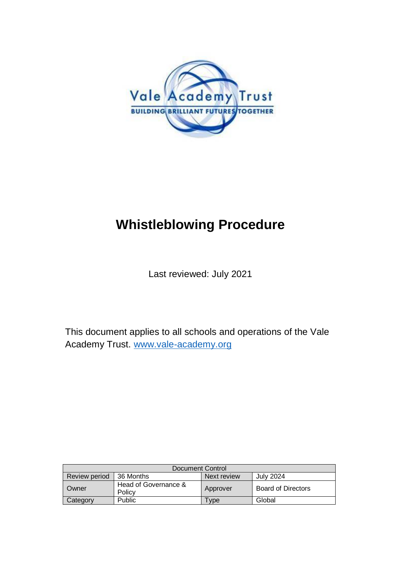

# **Whistleblowing Procedure**

Last reviewed: July 2021

This document applies to all schools and operations of the Vale Academy Trust. [www.vale-academy.org](http://www.vale-academy.org/)

| Document Control     |                                |             |                    |  |
|----------------------|--------------------------------|-------------|--------------------|--|
| <b>Review period</b> | 36 Months                      | Next review | July 2024          |  |
| Owner                | Head of Governance &<br>Policy | Approver    | Board of Directors |  |
| Category             | Public                         | l vpe       | Global             |  |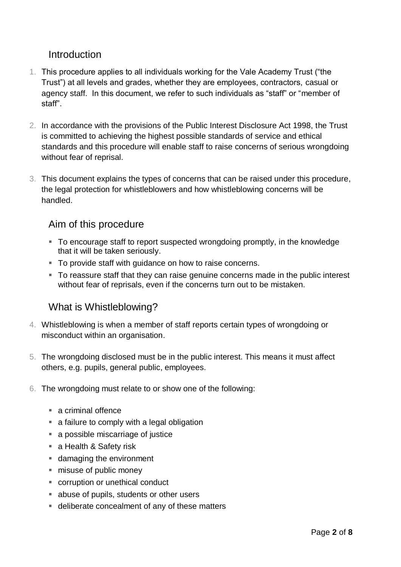## **Introduction**

- 1. This procedure applies to all individuals working for the Vale Academy Trust ("the Trust") at all levels and grades, whether they are employees, contractors, casual or agency staff. In this document, we refer to such individuals as "staff" or "member of staff".
- 2. In accordance with the provisions of the Public Interest Disclosure Act 1998, the Trust is committed to achieving the highest possible standards of service and ethical standards and this procedure will enable staff to raise concerns of serious wrongdoing without fear of reprisal.
- 3. This document explains the types of concerns that can be raised under this procedure, the legal protection for whistleblowers and how whistleblowing concerns will be handled.

## Aim of this procedure

- To encourage staff to report suspected wrongdoing promptly, in the knowledge that it will be taken seriously.
- To provide staff with guidance on how to raise concerns.
- To reassure staff that they can raise genuine concerns made in the public interest without fear of reprisals, even if the concerns turn out to be mistaken.

# What is Whistleblowing?

- 4. Whistleblowing is when a member of staff reports certain types of wrongdoing or misconduct within an organisation.
- 5. The wrongdoing disclosed must be in the public interest. This means it must affect others, e.g. pupils, general public, employees.
- 6. The wrongdoing must relate to or show one of the following:
	- a criminal offence
	- a failure to comply with a legal obligation
	- a possible miscarriage of justice
	- a Health & Safety risk
	- damaging the environment
	- misuse of public money
	- corruption or unethical conduct
	- abuse of pupils, students or other users
	- deliberate concealment of any of these matters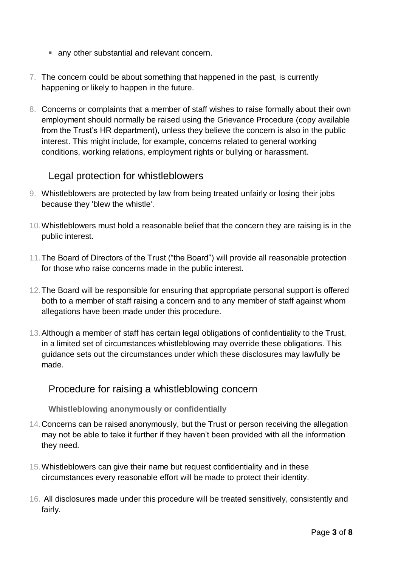- **any other substantial and relevant concern.**
- 7. The concern could be about something that happened in the past, is currently happening or likely to happen in the future.
- 8. Concerns or complaints that a member of staff wishes to raise formally about their own employment should normally be raised using the Grievance Procedure (copy available from the Trust's HR department), unless they believe the concern is also in the public interest. This might include, for example, concerns related to general working conditions, working relations, employment rights or bullying or harassment.

### Legal protection for whistleblowers

- 9. Whistleblowers are protected by law from being treated unfairly or losing their jobs because they 'blew the whistle'.
- 10.Whistleblowers must hold a reasonable belief that the concern they are raising is in the public interest.
- 11.The Board of Directors of the Trust ("the Board") will provide all reasonable protection for those who raise concerns made in the public interest.
- 12.The Board will be responsible for ensuring that appropriate personal support is offered both to a member of staff raising a concern and to any member of staff against whom allegations have been made under this procedure.
- 13.Although a member of staff has certain legal obligations of confidentiality to the Trust, in a limited set of circumstances whistleblowing may override these obligations. This guidance sets out the circumstances under which these disclosures may lawfully be made.

#### Procedure for raising a whistleblowing concern

#### **Whistleblowing anonymously or confidentially**

- 14.Concerns can be raised anonymously, but the Trust or person receiving the allegation may not be able to take it further if they haven't been provided with all the information they need.
- 15.Whistleblowers can give their name but request confidentiality and in these circumstances every reasonable effort will be made to protect their identity.
- 16. All disclosures made under this procedure will be treated sensitively, consistently and fairly.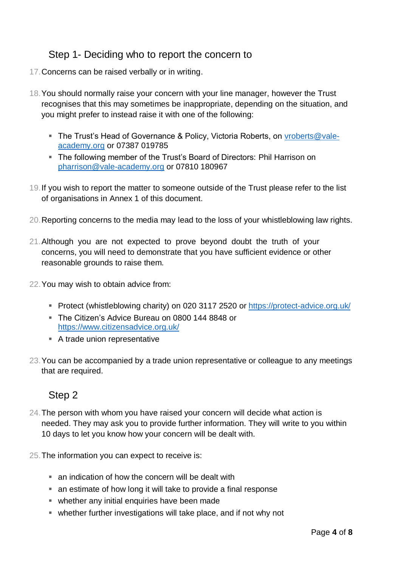# Step 1- Deciding who to report the concern to

- 17.Concerns can be raised verbally or in writing.
- 18.You should normally raise your concern with your line manager, however the Trust recognises that this may sometimes be inappropriate, depending on the situation, and you might prefer to instead raise it with one of the following:
	- The Trust's Head of Governance & Policy, Victoria Roberts, on [vroberts@vale](mailto:vroberts@vale-academy.org)[academy.org](mailto:vroberts@vale-academy.org) or 07387 019785
	- The following member of the Trust's Board of Directors: Phil Harrison on [pharrison@vale-academy.org](mailto:pharrison@vale-academy.org) or 07810 180967
- 19.If you wish to report the matter to someone outside of the Trust please refer to the list of organisations in Annex 1 of this document.
- 20.Reporting concerns to the media may lead to the loss of your whistleblowing law rights.
- 21.Although you are not expected to prove beyond doubt the truth of your concerns, you will need to demonstrate that you have sufficient evidence or other reasonable grounds to raise them.
- 22.You may wish to obtain advice from:
	- Protect (whistleblowing charity) on 020 3117 2520 or<https://protect-advice.org.uk/>
	- The Citizen's Advice Bureau on 0800 144 8848 or <https://www.citizensadvice.org.uk/>
	- A trade union representative
- 23.You can be accompanied by a trade union representative or colleague to any meetings that are required.

# Step 2

- 24.The person with whom you have raised your concern will decide what action is needed. They may ask you to provide further information. They will write to you within 10 days to let you know how your concern will be dealt with.
- 25.The information you can expect to receive is:
	- an indication of how the concern will be dealt with
	- an estimate of how long it will take to provide a final response
	- whether any initial enquiries have been made
	- whether further investigations will take place, and if not why not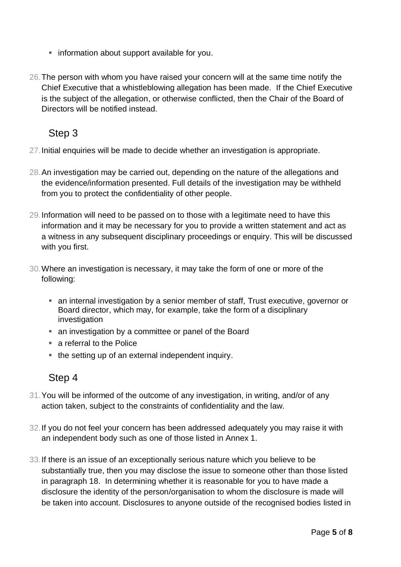- **F** information about support available for you.
- 26.The person with whom you have raised your concern will at the same time notify the Chief Executive that a whistleblowing allegation has been made. If the Chief Executive is the subject of the allegation, or otherwise conflicted, then the Chair of the Board of Directors will be notified instead.

# Step 3

- 27.Initial enquiries will be made to decide whether an investigation is appropriate.
- 28.An investigation may be carried out, depending on the nature of the allegations and the evidence/information presented. Full details of the investigation may be withheld from you to protect the confidentiality of other people.
- 29.Information will need to be passed on to those with a legitimate need to have this information and it may be necessary for you to provide a written statement and act as a witness in any subsequent disciplinary proceedings or enquiry. This will be discussed with you first.
- 30.Where an investigation is necessary, it may take the form of one or more of the following:
	- an internal investigation by a senior member of staff, Trust executive, governor or Board director, which may, for example, take the form of a disciplinary investigation
	- an investigation by a committee or panel of the Board
	- a referral to the Police
	- the setting up of an external independent inquiry.

# Step 4

- 31.You will be informed of the outcome of any investigation, in writing, and/or of any action taken, subject to the constraints of confidentiality and the law.
- 32.If you do not feel your concern has been addressed adequately you may raise it with an independent body such as one of those listed in Annex 1.
- 33.If there is an issue of an exceptionally serious nature which you believe to be substantially true, then you may disclose the issue to someone other than those listed in paragraph 18. In determining whether it is reasonable for you to have made a disclosure the identity of the person/organisation to whom the disclosure is made will be taken into account. Disclosures to anyone outside of the recognised bodies listed in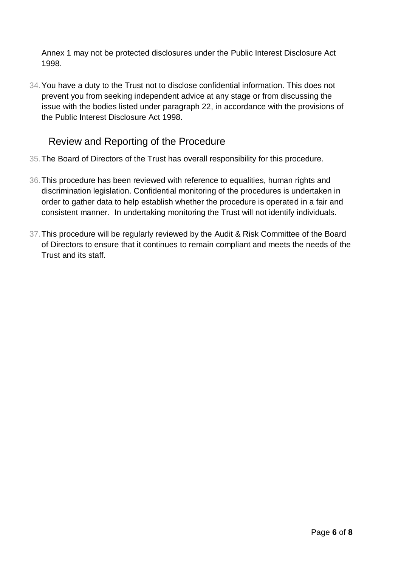Annex 1 may not be protected disclosures under the Public Interest Disclosure Act 1998.

34.You have a duty to the Trust not to disclose confidential information. This does not prevent you from seeking independent advice at any stage or from discussing the issue with the bodies listed under paragraph 22, in accordance with the provisions of the Public Interest Disclosure Act 1998.

# Review and Reporting of the Procedure

- 35.The Board of Directors of the Trust has overall responsibility for this procedure.
- 36.This procedure has been reviewed with reference to equalities, human rights and discrimination legislation. Confidential monitoring of the procedures is undertaken in order to gather data to help establish whether the procedure is operated in a fair and consistent manner. In undertaking monitoring the Trust will not identify individuals.
- 37.This procedure will be regularly reviewed by the Audit & Risk Committee of the Board of Directors to ensure that it continues to remain compliant and meets the needs of the Trust and its staff.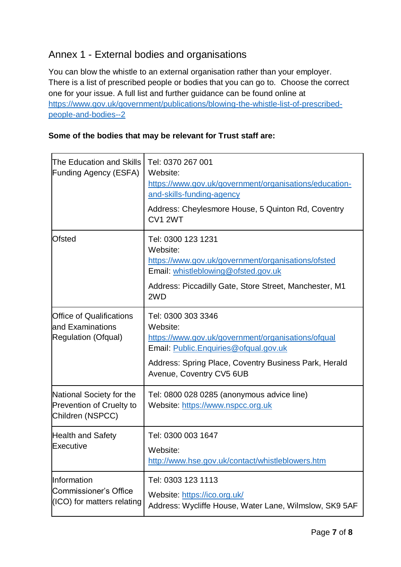# Annex 1 - External bodies and organisations

You can blow the whistle to an external organisation rather than your employer. There is a list of prescribed people or bodies that you can go to. Choose the correct one for your issue. A full list and further guidance can be found online at [https://www.gov.uk/government/publications/blowing-the-whistle-list-of-prescribed](https://www.gov.uk/government/publications/blowing-the-whistle-list-of-prescribed-people-and-bodies--2)[people-and-bodies--2](https://www.gov.uk/government/publications/blowing-the-whistle-list-of-prescribed-people-and-bodies--2)

#### **Some of the bodies that may be relevant for Trust staff are:**

| The Education and Skills<br><b>Funding Agency (ESFA)</b>                        | Tel: 0370 267 001<br>Website:<br>https://www.gov.uk/government/organisations/education-<br>and-skills-funding-agency<br>Address: Cheylesmore House, 5 Quinton Rd, Coventry<br><b>CV1 2WT</b>                       |  |
|---------------------------------------------------------------------------------|--------------------------------------------------------------------------------------------------------------------------------------------------------------------------------------------------------------------|--|
| <b>Ofsted</b>                                                                   | Tel: 0300 123 1231<br>Website:<br>https://www.gov.uk/government/organisations/ofsted<br>Email: whistleblowing@ofsted.gov.uk<br>Address: Piccadilly Gate, Store Street, Manchester, M1<br>2WD                       |  |
| <b>Office of Qualifications</b><br>land Examinations<br>Regulation (Ofqual)     | Tel: 0300 303 3346<br>Website:<br>https://www.gov.uk/government/organisations/ofqual<br>Email: Public.Enquiries@ofqual.gov.uk<br>Address: Spring Place, Coventry Business Park, Herald<br>Avenue, Coventry CV5 6UB |  |
| National Society for the<br><b>Prevention of Cruelty to</b><br>Children (NSPCC) | Tel: 0800 028 0285 (anonymous advice line)<br>Website: https://www.nspcc.org.uk                                                                                                                                    |  |
| <b>Health and Safety</b><br>Executive                                           | Tel: 0300 003 1647<br>Website:<br>http://www.hse.gov.uk/contact/whistleblowers.htm                                                                                                                                 |  |
| Information<br><b>Commissioner's Office</b><br>(ICO) for matters relating       | Tel: 0303 123 1113<br>Website: https://ico.org.uk/<br>Address: Wycliffe House, Water Lane, Wilmslow, SK9 5AF                                                                                                       |  |